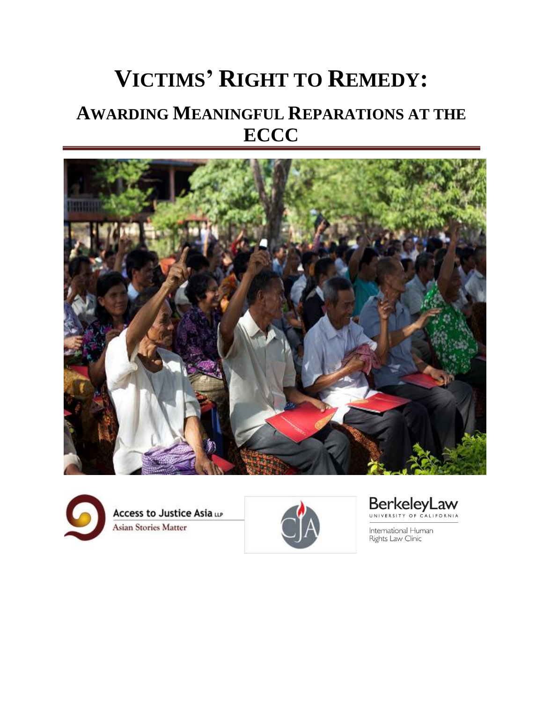# **VICTIMS' RIGHT TO REMEDY: AWARDING MEANINGFUL REPARATIONS AT THE ECCC**







BerkeleyLaw

International Human Rights Law Clinic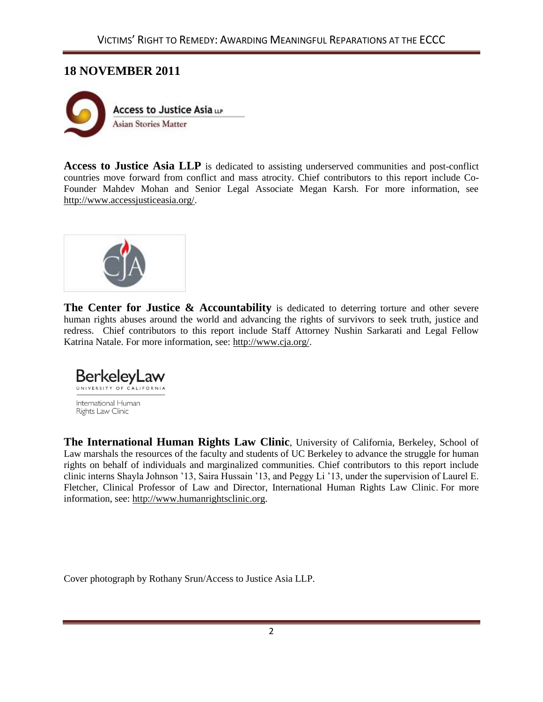# **18 NOVEMBER 2011**



Access to Justice Asia LLP is dedicated to assisting underserved communities and post-conflict countries move forward from conflict and mass atrocity. Chief contributors to this report include Co-Founder Mahdev Mohan and Senior Legal Associate Megan Karsh. For more information, see [http://www.accessjusticeasia.org/.](http://www.accessjusticeasia.org/)



**The Center for Justice & Accountability** is dedicated to deterring torture and other severe human rights abuses around the world and advancing the rights of survivors to seek truth, justice and redress. Chief contributors to this report include Staff Attorney Nushin Sarkarati and Legal Fellow Katrina Natale. For more information, see: [http://www.cja.org/.](http://www.cja.org/)



**The International Human Rights Law Clinic**, University of California, Berkeley, School of Law marshals the resources of the faculty and students of UC Berkeley to advance the struggle for human rights on behalf of individuals and marginalized communities. Chief contributors to this report include clinic interns Shayla Johnson '13, Saira Hussain '13, and Peggy Li '13, under the supervision of Laurel E. Fletcher, Clinical Professor of Law and Director, International Human Rights Law Clinic. For more information, see: [http://www.humanrightsclinic.org.](http://www.humanrightsclinic.org/)

Cover photograph by Rothany Srun/Access to Justice Asia LLP.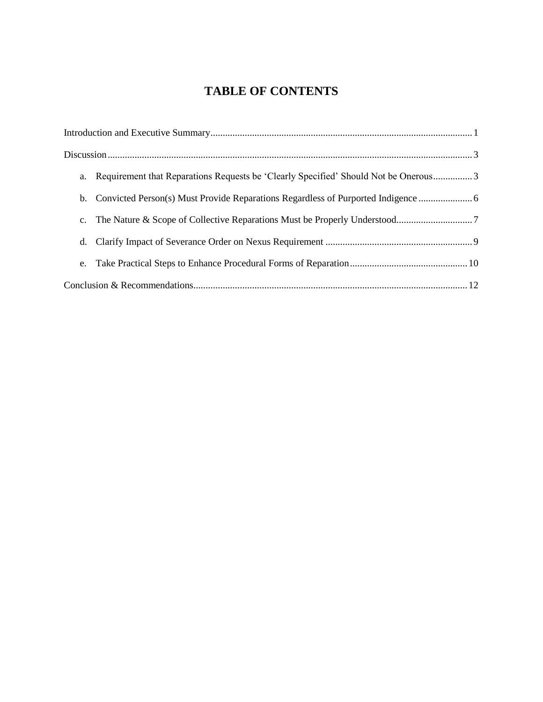# **TABLE OF CONTENTS**

|                | a. Requirement that Reparations Requests be 'Clearly Specified' Should Not be Onerous3 |
|----------------|----------------------------------------------------------------------------------------|
|                |                                                                                        |
| $\mathbf{c}$ . |                                                                                        |
| d.             |                                                                                        |
| e.             |                                                                                        |
|                |                                                                                        |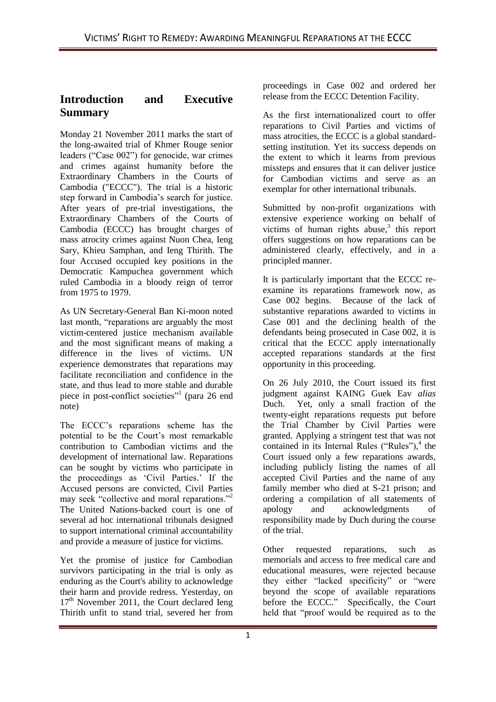# **Introduction and Executive Summary**

Monday 21 November 2011 marks the start of the long-awaited trial of Khmer Rouge senior leaders ("Case 002") for genocide, war crimes and crimes against humanity before the Extraordinary Chambers in the Courts of Cambodia ("ECCC"). The trial is a historic step forward in Cambodia's search for justice. After years of pre-trial investigations, the Extraordinary Chambers of the Courts of Cambodia (ECCC) has brought charges of mass atrocity crimes against Nuon Chea, Ieng Sary, Khieu Samphan, and Ieng Thirith. The four Accused occupied key positions in the Democratic Kampuchea government which ruled Cambodia in a bloody reign of terror from 1975 to 1979.

As UN Secretary-General Ban Ki-moon noted last month, "reparations are arguably the most victim-centered justice mechanism available and the most significant means of making a difference in the lives of victims. UN experience demonstrates that reparations may facilitate reconciliation and confidence in the state, and thus lead to more stable and durable piece in post-conflict societies"<sup>1</sup> (para 26 end note)

The ECCC's reparations scheme has the potential to be the Court's most remarkable contribution to Cambodian victims and the development of international law. Reparations can be sought by victims who participate in the proceedings as 'Civil Parties.' If the Accused persons are convicted, Civil Parties may seek "collective and moral reparations."<sup>2</sup> The United Nations-backed court is one of several ad hoc international tribunals designed to support international criminal accountability and provide a measure of justice for victims.

Yet the promise of justice for Cambodian survivors participating in the trial is only as enduring as the Court's ability to acknowledge their harm and provide redress. Yesterday, on 17<sup>th</sup> November 2011, the Court declared Ieng Thirith unfit to stand trial, severed her from

proceedings in Case 002 and ordered her release from the ECCC Detention Facility.

As the first internationalized court to offer reparations to Civil Parties and victims of mass atrocities, the ECCC is a global standardsetting institution. Yet its success depends on the extent to which it learns from previous missteps and ensures that it can deliver justice for Cambodian victims and serve as an exemplar for other international tribunals.

Submitted by non-profit organizations with extensive experience working on behalf of victims of human rights abuse, $3$  this report offers suggestions on how reparations can be administered clearly, effectively, and in a principled manner.

It is particularly important that the ECCC reexamine its reparations framework now, as Case 002 begins. Because of the lack of substantive reparations awarded to victims in Case 001 and the declining health of the defendants being prosecuted in Case 002, it is critical that the ECCC apply internationally accepted reparations standards at the first opportunity in this proceeding.

On 26 July 2010, the Court issued its first judgment against KAING Guek Eav *alias*  Duch. Yet, only a small fraction of the twenty-eight reparations requests put before the Trial Chamber by Civil Parties were granted. Applying a stringent test that was not contained in its Internal Rules ("Rules"), $4$  the Court issued only a few reparations awards, including publicly listing the names of all accepted Civil Parties and the name of any family member who died at S-21 prison; and ordering a compilation of all statements of apology and acknowledgments of apology and acknowledgments responsibility made by Duch during the course of the trial.

Other requested reparations, such as memorials and access to free medical care and educational measures, were rejected because they either "lacked specificity" or "were beyond the scope of available reparations before the ECCC." Specifically, the Court held that "proof would be required as to the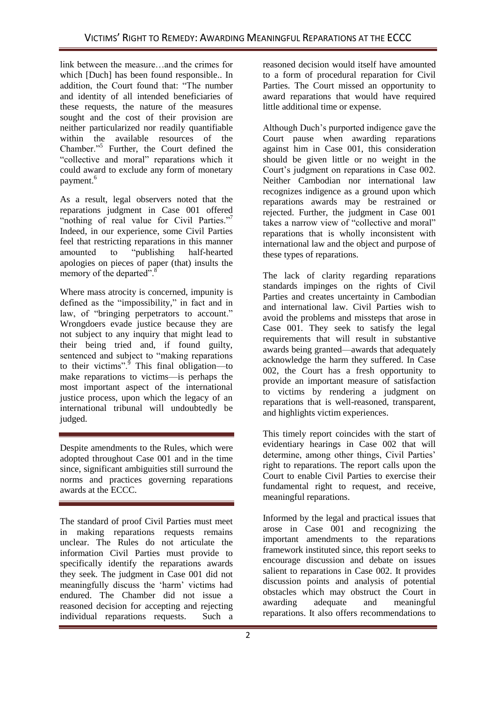link between the measure…and the crimes for which [Duch] has been found responsible.. In addition, the Court found that: "The number and identity of all intended beneficiaries of these requests, the nature of the measures sought and the cost of their provision are neither particularized nor readily quantifiable within the available resources of the Chamber."<sup>5</sup> Further, the Court defined the "collective and moral" reparations which it could award to exclude any form of monetary payment.<sup>6</sup>

As a result, legal observers noted that the reparations judgment in Case 001 offered "nothing of real value for Civil Parties."<sup>7</sup> Indeed, in our experience, some Civil Parties feel that restricting reparations in this manner amounted to "publishing half-hearted apologies on pieces of paper (that) insults the memory of the departed".<sup>8</sup>

Where mass atrocity is concerned, impunity is defined as the "impossibility," in fact and in law, of "bringing perpetrators to account." Wrongdoers evade justice because they are not subject to any inquiry that might lead to their being tried and, if found guilty, sentenced and subject to "making reparations" to their victims". $\frac{9}{9}$  This final obligation—to make reparations to victims—is perhaps the most important aspect of the international justice process, upon which the legacy of an international tribunal will undoubtedly be judged.

Despite amendments to the Rules, which were adopted throughout Case 001 and in the time since, significant ambiguities still surround the norms and practices governing reparations awards at the ECCC.

The standard of proof Civil Parties must meet in making reparations requests remains unclear. The Rules do not articulate the information Civil Parties must provide to specifically identify the reparations awards they seek. The judgment in Case 001 did not meaningfully discuss the 'harm' victims had endured. The Chamber did not issue a reasoned decision for accepting and rejecting individual reparations requests. Such a

reasoned decision would itself have amounted to a form of procedural reparation for Civil Parties. The Court missed an opportunity to award reparations that would have required little additional time or expense.

Although Duch's purported indigence gave the Court pause when awarding reparations against him in Case 001, this consideration should be given little or no weight in the Court's judgment on reparations in Case 002. Neither Cambodian nor international law recognizes indigence as a ground upon which reparations awards may be restrained or rejected. Further, the judgment in Case 001 takes a narrow view of "collective and moral" reparations that is wholly inconsistent with international law and the object and purpose of these types of reparations.

The lack of clarity regarding reparations standards impinges on the rights of Civil Parties and creates uncertainty in Cambodian and international law. Civil Parties wish to avoid the problems and missteps that arose in Case 001. They seek to satisfy the legal requirements that will result in substantive awards being granted—awards that adequately acknowledge the harm they suffered. In Case 002, the Court has a fresh opportunity to provide an important measure of satisfaction to victims by rendering a judgment on reparations that is well-reasoned, transparent, and highlights victim experiences.

This timely report coincides with the start of evidentiary hearings in Case 002 that will determine, among other things, Civil Parties' right to reparations. The report calls upon the Court to enable Civil Parties to exercise their fundamental right to request, and receive, meaningful reparations.

Informed by the legal and practical issues that arose in Case 001 and recognizing the important amendments to the reparations framework instituted since, this report seeks to encourage discussion and debate on issues salient to reparations in Case 002. It provides discussion points and analysis of potential obstacles which may obstruct the Court in awarding adequate and meaningful reparations. It also offers recommendations to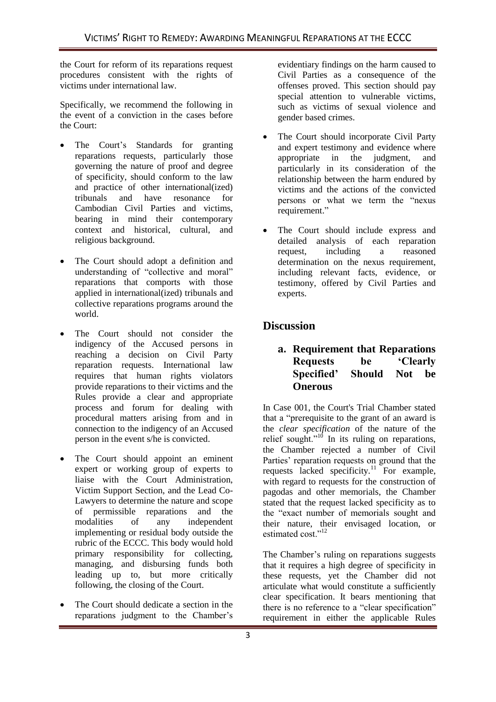the Court for reform of its reparations request procedures consistent with the rights of victims under international law.

Specifically, we recommend the following in the event of a conviction in the cases before the Court:

- The Court's Standards for granting reparations requests, particularly those governing the nature of proof and degree of specificity, should conform to the law and practice of other international(ized)<br>tribunals and have resonance for resonance for Cambodian Civil Parties and victims, bearing in mind their contemporary context and historical, cultural, and religious background.
- The Court should adopt a definition and understanding of "collective and moral" reparations that comports with those applied in international(ized) tribunals and collective reparations programs around the world.
- The Court should not consider the indigency of the Accused persons in reaching a decision on Civil Party reparation requests. International law requires that human rights violators provide reparations to their victims and the Rules provide a clear and appropriate process and forum for dealing with procedural matters arising from and in connection to the indigency of an Accused person in the event s/he is convicted.
- The Court should appoint an eminent expert or working group of experts to liaise with the Court Administration, Victim Support Section, and the Lead Co-Lawyers to determine the nature and scope of permissible reparations and the modalities of any independent implementing or residual body outside the rubric of the ECCC. This body would hold primary responsibility for collecting, managing, and disbursing funds both leading up to, but more critically following, the closing of the Court.
- The Court should dedicate a section in the reparations judgment to the Chamber's

evidentiary findings on the harm caused to Civil Parties as a consequence of the offenses proved. This section should pay special attention to vulnerable victims, such as victims of sexual violence and gender based crimes.

- The Court should incorporate Civil Party and expert testimony and evidence where appropriate in the judgment, and particularly in its consideration of the relationship between the harm endured by victims and the actions of the convicted persons or what we term the "nexus" requirement."
- The Court should include express and detailed analysis of each reparation request, including a reasoned determination on the nexus requirement, including relevant facts, evidence, or testimony, offered by Civil Parties and experts.

# **Discussion**

## **a. Requirement that Reparations Requests be 'Clearly Specified' Should Not be Onerous**

In Case 001, the Court's Trial Chamber stated that a "prerequisite to the grant of an award is the *clear specification* of the nature of the relief sought." $10$  In its ruling on reparations, the Chamber rejected a number of Civil Parties' reparation requests on ground that the requests lacked specificity.<sup>11</sup> For example, with regard to requests for the construction of pagodas and other memorials, the Chamber stated that the request lacked specificity as to the "exact number of memorials sought and their nature, their envisaged location, or estimated cost."<sup>12</sup>

The Chamber's ruling on reparations suggests that it requires a high degree of specificity in these requests, yet the Chamber did not articulate what would constitute a sufficiently clear specification. It bears mentioning that there is no reference to a "clear specification" requirement in either the applicable Rules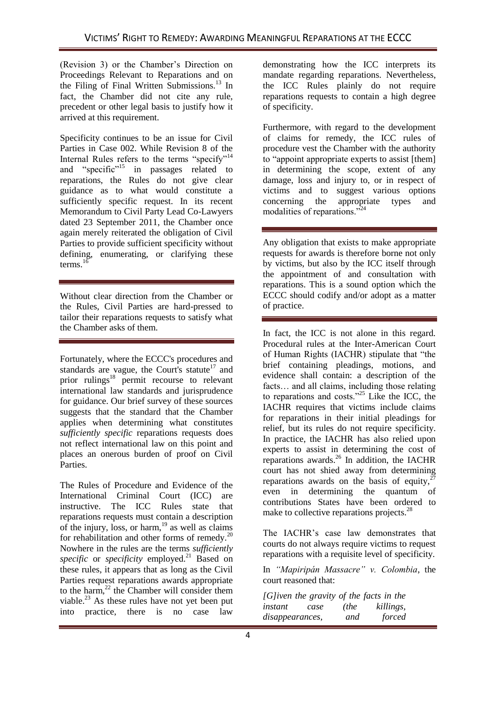(Revision 3) or the Chamber's Direction on Proceedings Relevant to Reparations and on the Filing of Final Written Submissions. $^{13}$  In fact, the Chamber did not cite any rule, precedent or other legal basis to justify how it arrived at this requirement.

Specificity continues to be an issue for Civil Parties in Case 002. While Revision 8 of the Internal Rules refers to the terms "specify"<sup>14</sup> and "specific"<sup>15</sup> in passages related to reparations, the Rules do not give clear guidance as to what would constitute a sufficiently specific request. In its recent Memorandum to Civil Party Lead Co-Lawyers dated 23 September 2011, the Chamber once again merely reiterated the obligation of Civil Parties to provide sufficient specificity without defining, enumerating, or clarifying these terms. $16$ 

Without clear direction from the Chamber or the Rules, Civil Parties are hard-pressed to tailor their reparations requests to satisfy what the Chamber asks of them.

Fortunately, where the ECCC's procedures and standards are vague, the Court's statute<sup>17</sup> and prior rulings<sup>18</sup> permit recourse to relevant international law standards and jurisprudence for guidance. Our brief survey of these sources suggests that the standard that the Chamber applies when determining what constitutes *sufficiently specific* reparations requests does not reflect international law on this point and places an onerous burden of proof on Civil Parties.

The Rules of Procedure and Evidence of the International Criminal Court (ICC) are instructive. The ICC Rules state that reparations requests must contain a description of the injury, loss, or harm,  $19$  as well as claims for rehabilitation and other forms of remedy.<sup>20</sup> Nowhere in the rules are the terms *sufficiently specific* or *specificity* employed.<sup>21</sup> Based on these rules, it appears that as long as the Civil Parties request reparations awards appropriate to the harm, $^{22}$  the Chamber will consider them viable.<sup>23</sup> As these rules have not yet been put into practice, there is no case law

demonstrating how the ICC interprets its mandate regarding reparations. Nevertheless, the ICC Rules plainly do not require reparations requests to contain a high degree of specificity.

Furthermore, with regard to the development of claims for remedy, the ICC rules of procedure vest the Chamber with the authority to "appoint appropriate experts to assist [them] in determining the scope, extent of any damage, loss and injury to, or in respect of victims and to suggest various options concerning the appropriate types and modalities of reparations."<sup>2</sup>

Any obligation that exists to make appropriate requests for awards is therefore borne not only by victims, but also by the ICC itself through the appointment of and consultation with reparations. This is a sound option which the ECCC should codify and/or adopt as a matter of practice.

In fact, the ICC is not alone in this regard. Procedural rules at the Inter-American Court of Human Rights (IACHR) stipulate that "the brief containing pleadings, motions, and evidence shall contain: a description of the facts… and all claims, including those relating to reparations and costs."<sup>25</sup> Like the ICC, the IACHR requires that victims include claims for reparations in their initial pleadings for relief, but its rules do not require specificity. In practice, the IACHR has also relied upon experts to assist in determining the cost of reparations awards.<sup>26</sup> In addition, the IACHR court has not shied away from determining reparations awards on the basis of equity,  $2^7$ even in determining the quantum of contributions States have been ordered to make to collective reparations projects.<sup>28</sup>

The IACHR's case law demonstrates that courts do not always require victims to request reparations with a requisite level of specificity.

In *"Mapiripán Massacre" v. Colombia*, the court reasoned that:

*[G]iven the gravity of the facts in the instant case (the killings, disappearances, and forced*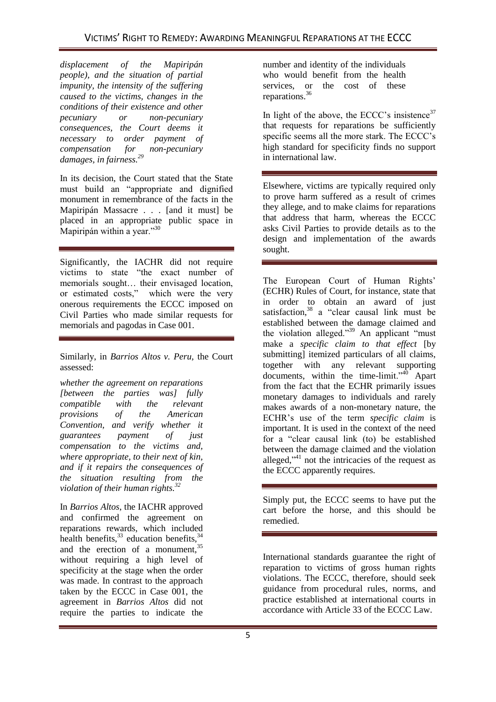*displacement of the Mapiripán people), and the situation of partial impunity, the intensity of the suffering caused to the victims, changes in the conditions of their existence and other pecuniary or non-pecuniary consequences, the Court deems it necessary to order payment of compensation for non-pecuniary damages, in fairness.<sup>29</sup>*

In its decision, the Court stated that the State must build an "appropriate and dignified monument in remembrance of the facts in the Mapiripán Massacre . . . [and it must] be placed in an appropriate public space in Mapiripán within a year."30

Significantly, the IACHR did not require victims to state "the exact number of memorials sought… their envisaged location, or estimated costs," which were the very onerous requirements the ECCC imposed on Civil Parties who made similar requests for memorials and pagodas in Case 001.

Similarly, in *Barrios Altos v. Peru,* the Court assessed:

*whether the agreement on reparations [between the parties was] fully compatible with the relevant provisions of the American Convention, and verify whether it guarantees payment of just compensation to the victims and, where appropriate, to their next of kin, and if it repairs the consequences of the situation resulting from the violation of their human rights.<sup>32</sup>*

In *Barrios Altos*, the IACHR approved and confirmed the agreement on reparations rewards, which included health benefits,  $33$  education benefits,  $34$ and the erection of a monument,<sup>35</sup> without requiring a high level of specificity at the stage when the order was made. In contrast to the approach taken by the ECCC in Case 001, the agreement in *Barrios Altos* did not require the parties to indicate the

number and identity of the individuals who would benefit from the health services, or the cost of these reparations.<sup>36</sup>

In light of the above, the ECCC's insistence<sup>37</sup> that requests for reparations be sufficiently specific seems all the more stark. The ECCC's high standard for specificity finds no support in international law.

Elsewhere, victims are typically required only to prove harm suffered as a result of crimes they allege, and to make claims for reparations that address that harm, whereas the ECCC asks Civil Parties to provide details as to the design and implementation of the awards sought.

The European Court of Human Rights' (ECHR) Rules of Court, for instance, state that in order to obtain an award of just satisfaction,  $38$  a "clear causal link must be established between the damage claimed and the violation alleged."<sup>39</sup> An applicant "must" make a *specific claim to that effect* [by submitting] itemized particulars of all claims, together with any relevant supporting documents, within the time-limit." $40$  Apart from the fact that the ECHR primarily issues monetary damages to individuals and rarely makes awards of a non-monetary nature, the ECHR's use of the term *specific claim* is important. It is used in the context of the need for a "clear causal link (to) be established between the damage claimed and the violation alleged," $41$  not the intricacies of the request as the ECCC apparently requires.

Simply put, the ECCC seems to have put the cart before the horse, and this should be remedied.

International standards guarantee the right of reparation to victims of gross human rights violations. The ECCC, therefore, should seek guidance from procedural rules, norms, and practice established at international courts in accordance with Article 33 of the ECCC Law.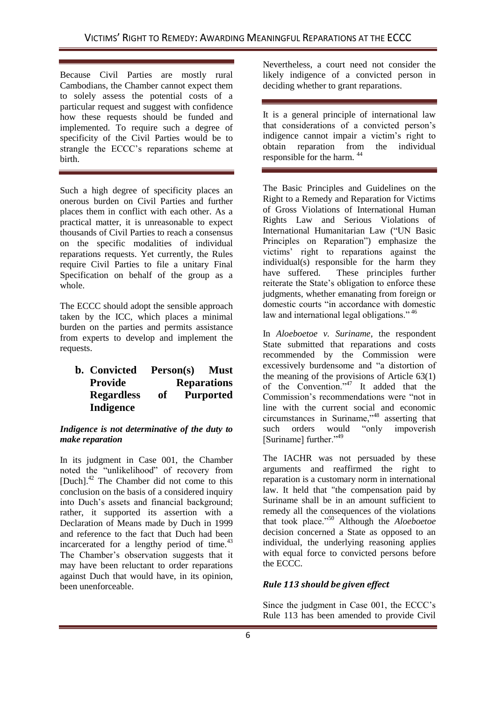Because Civil Parties are mostly rural Cambodians, the Chamber cannot expect them to solely assess the potential costs of a particular request and suggest with confidence how these requests should be funded and implemented. To require such a degree of specificity of the Civil Parties would be to strangle the ECCC's reparations scheme at birth.

Such a high degree of specificity places an onerous burden on Civil Parties and further places them in conflict with each other. As a practical matter, it is unreasonable to expect thousands of Civil Parties to reach a consensus on the specific modalities of individual reparations requests. Yet currently, the Rules require Civil Parties to file a unitary Final Specification on behalf of the group as a whole.

The ECCC should adopt the sensible approach taken by the ICC, which places a minimal burden on the parties and permits assistance from experts to develop and implement the requests.

## **b. Convicted Person(s) Must Provide Reparations Regardless of Purported Indigence**

#### *Indigence is not determinative of the duty to make reparation*

In its judgment in Case 001, the Chamber noted the "unlikelihood" of recovery from [Duch].<sup>42</sup> The Chamber did not come to this conclusion on the basis of a considered inquiry into Duch's assets and financial background; rather, it supported its assertion with a Declaration of Means made by Duch in 1999 and reference to the fact that Duch had been incarcerated for a lengthy period of time.<sup>43</sup> The Chamber's observation suggests that it may have been reluctant to order reparations against Duch that would have, in its opinion, been unenforceable.

Nevertheless, a court need not consider the likely indigence of a convicted person in deciding whether to grant reparations.

It is a general principle of international law that considerations of a convicted person's indigence cannot impair a victim's right to<br>obtain reparation from the individual the individual responsible for the harm. 44

The Basic Principles and Guidelines on the Right to a Remedy and Reparation for Victims of Gross Violations of International Human Rights Law and Serious Violations of International Humanitarian Law ("UN Basic Principles on Reparation<sup>"</sup>) emphasize the victims' right to reparations against the individual(s) responsible for the harm they have suffered. These principles further reiterate the State's obligation to enforce these judgments, whether emanating from foreign or domestic courts "in accordance with domestic law and international legal obligations."<sup>46</sup>

In *Aloeboetoe v. Suriname*, the respondent State submitted that reparations and costs recommended by the Commission were excessively burdensome and "a distortion of the meaning of the provisions of Article 63(1) of the Convention."<sup>47</sup> It added that the Commission's recommendations were "not in line with the current social and economic circumstances in Suriname,<sup>148</sup> asserting that such orders would "only impoverish" [Suriname] further."49

The IACHR was not persuaded by these arguments and reaffirmed the right to reparation is a customary norm in international law. It held that "the compensation paid by Suriname shall be in an amount sufficient to remedy all the consequences of the violations that took place."<sup>50</sup> Although the *Aloeboetoe* decision concerned a State as opposed to an individual, the underlying reasoning applies with equal force to convicted persons before the ECCC.

### *Rule 113 should be given effect*

Since the judgment in Case 001, the ECCC's Rule 113 has been amended to provide Civil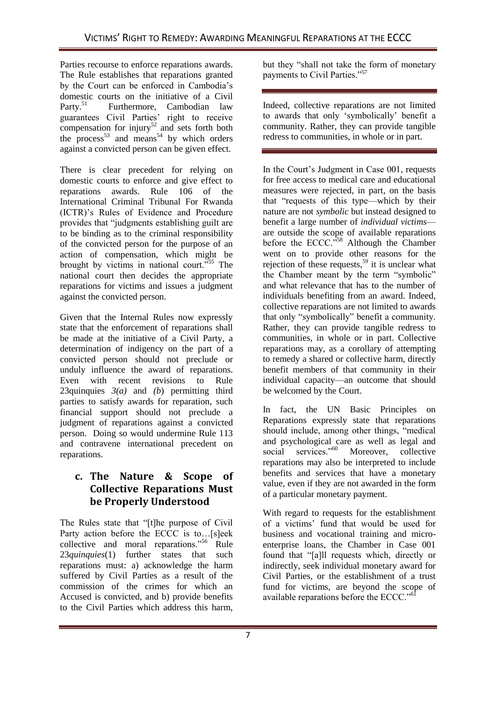Parties recourse to enforce reparations awards. The Rule establishes that reparations granted by the Court can be enforced in Cambodia's domestic courts on the initiative of a Civil Party.<sup>51</sup> Furthermore, Cambodian law guarantees Civil Parties' right to receive compensation for injury<sup>52</sup> and sets forth both the process<sup>53</sup> and means<sup>54</sup> by which orders against a convicted person can be given effect.

There is clear precedent for relying on domestic courts to enforce and give effect to reparations awards. Rule 106 of the International Criminal Tribunal For Rwanda (ICTR)'s Rules of Evidence and Procedure provides that "judgments establishing guilt are to be binding as to the criminal responsibility of the convicted person for the purpose of an action of compensation, which might be brought by victims in national court.<sup>555</sup> The national court then decides the appropriate reparations for victims and issues a judgment against the convicted person.

Given that the Internal Rules now expressly state that the enforcement of reparations shall be made at the initiative of a Civil Party, a determination of indigency on the part of a convicted person should not preclude or unduly influence the award of reparations. Even with recent revisions to Rule 23quinquies *3(a)* and *(b*) permitting third parties to satisfy awards for reparation, such financial support should not preclude a judgment of reparations against a convicted person. Doing so would undermine Rule 113 and contravene international precedent on reparations.

## **c. The Nature & Scope of Collective Reparations Must be Properly Understood**

The Rules state that "[t]he purpose of Civil Party action before the ECCC is to…[s]eek collective and moral reparations."<sup>56</sup> Rule 23*quinquies*(1) further states that such reparations must: a) acknowledge the harm suffered by Civil Parties as a result of the commission of the crimes for which an Accused is convicted, and b) provide benefits to the Civil Parties which address this harm, but they "shall not take the form of monetary payments to Civil Parties."<sup>57</sup>

Indeed, collective reparations are not limited to awards that only 'symbolically' benefit a community. Rather, they can provide tangible redress to communities, in whole or in part.

In the Court's Judgment in Case 001, requests for free access to medical care and educational measures were rejected, in part, on the basis that "requests of this type—which by their nature are not *symbolic* but instead designed to benefit a large number of *individual victims* are outside the scope of available reparations before the ECCC."<sup>58</sup> Although the Chamber went on to provide other reasons for the rejection of these requests,<sup>59</sup> it is unclear what the Chamber meant by the term "symbolic" and what relevance that has to the number of individuals benefiting from an award. Indeed, collective reparations are not limited to awards that only "symbolically" benefit a community. Rather, they can provide tangible redress to communities, in whole or in part. Collective reparations may, as a corollary of attempting to remedy a shared or collective harm, directly benefit members of that community in their individual capacity—an outcome that should be welcomed by the Court.

In fact, the UN Basic Principles on Reparations expressly state that reparations should include, among other things, "medical and psychological care as well as legal and<br>social services."<sup>60</sup> Moreover, collective social services."<sup>60</sup> Moreover, collective reparations may also be interpreted to include benefits and services that have a monetary value, even if they are not awarded in the form of a particular monetary payment.

With regard to requests for the establishment of a victims' fund that would be used for business and vocational training and microenterprise loans, the Chamber in Case 001 found that "[a]ll requests which, directly or indirectly, seek individual monetary award for Civil Parties, or the establishment of a trust fund for victims, are beyond the scope of available reparations before the ECCC. $^{96}$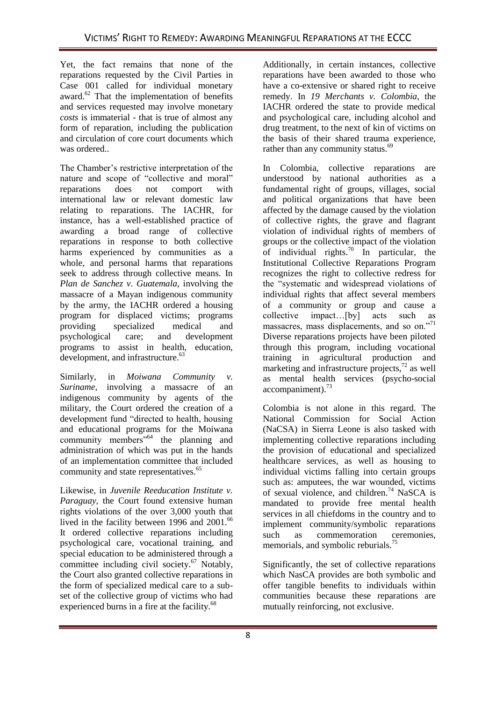Yet, the fact remains that none of the reparations requested by the Civil Parties in Case 001 called for individual monetary award.<sup>62</sup> That the implementation of benefits and services requested may involve monetary *costs* is immaterial - that is true of almost any form of reparation, including the publication and circulation of core court documents which was ordered..

The Chamber's restrictive interpretation of the nature and scope of "collective and moral" reparations does not comport with international law or relevant domestic law relating to reparations. The IACHR, for instance, has a well-established practice of awarding a broad range of collective reparations in response to both collective harms experienced by communities as a whole, and personal harms that reparations seek to address through collective means. In *Plan de Sanchez v. Guatemala,* involving the massacre of a Mayan indigenous community by the army, the IACHR ordered a housing program for displaced victims; programs<br>providing specialized medical and providing specialized medical and<br>psychological care; and development psychological care; and development programs to assist in health, education, development, and infrastructure.<sup>63</sup>

Similarly, in *Moiwana Community v. Suriname*, involving a massacre of an indigenous community by agents of the military, the Court ordered the creation of a development fund "directed to health, housing and educational programs for the Moiwana community members"<sup>64</sup> the planning and administration of which was put in the hands of an implementation committee that included community and state representatives.<sup>65</sup>

Likewise, in *Juvenile Reeducation Institute v. Paraguay*, the Court found extensive human rights violations of the over 3,000 youth that lived in the facility between 1996 and 2001.<sup>66</sup> It ordered collective reparations including psychological care, vocational training, and special education to be administered through a committee including civil society.<sup>67</sup> Notably, the Court also granted collective reparations in the form of specialized medical care to a subset of the collective group of victims who had experienced burns in a fire at the facility.<sup>68</sup>

Additionally, in certain instances, collective reparations have been awarded to those who have a co-extensive or shared right to receive remedy. In *19 Merchants v. Colombia*, the IACHR ordered the state to provide medical and psychological care, including alcohol and drug treatment, to the next of kin of victims on the basis of their shared trauma experience, rather than any community status.<sup>69</sup>

In Colombia, collective reparations are understood by national authorities as a fundamental right of groups, villages, social and political organizations that have been affected by the damage caused by the violation of collective rights, the grave and flagrant violation of individual rights of members of groups or the collective impact of the violation of individual rights.<sup>70</sup> In particular, the Institutional Collective Reparations Program recognizes the right to collective redress for the "systematic and widespread violations of individual rights that affect several members of a community or group and cause a collective impact…[by] acts such as massacres, mass displacements, and so on. $171$ Diverse reparations projects have been piloted through this program, including vocational training in agricultural production and marketing and infrastructure projects, $^{72}$  as well as mental health services (psycho-social  $accompaniment)$ .<sup>73</sup>

Colombia is not alone in this regard. The National Commission for Social Action (NaCSA) in Sierra Leone is also tasked with implementing collective reparations including the provision of educational and specialized healthcare services, as well as housing to individual victims falling into certain groups such as: amputees, the war wounded, victims of sexual violence, and children.<sup>74</sup> NaSCA is mandated to provide free mental health services in all chiefdoms in the country and to implement community/symbolic reparations<br>such as commemoration ceremonies. such as commemoration memorials, and symbolic reburials.<sup>75</sup>

Significantly, the set of collective reparations which NasCA provides are both symbolic and offer tangible benefits to individuals within communities because these reparations are mutually reinforcing, not exclusive.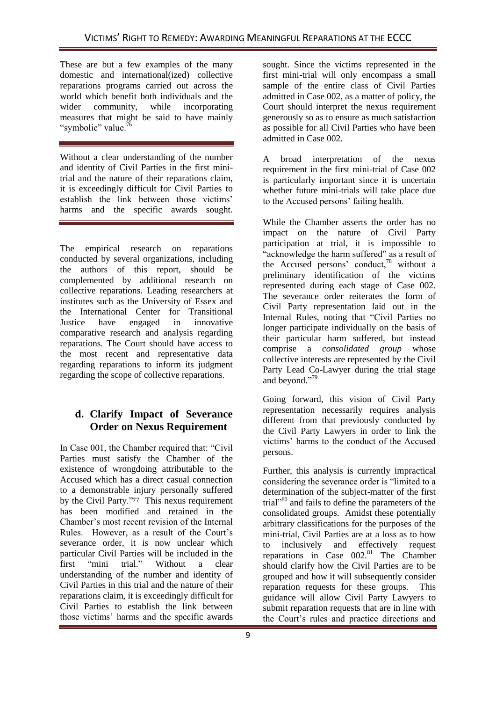These are but a few examples of the many domestic and international(ized) collective reparations programs carried out across the world which benefit both individuals and the wider community, while incorporating measures that might be said to have mainly "symbolic" value.<sup>76</sup>

Without a clear understanding of the number and identity of Civil Parties in the first minitrial and the nature of their reparations claim, it is exceedingly difficult for Civil Parties to establish the link between those victims' harms and the specific awards sought.

The empirical research on reparations conducted by several organizations, including the authors of this report, should be complemented by additional research on collective reparations. Leading researchers at institutes such as the University of Essex and the International Center for Transitional Justice have engaged in innovative comparative research and analysis regarding reparations. The Court should have access to the most recent and representative data regarding reparations to inform its judgment regarding the scope of collective reparations.

# **d. Clarify Impact of Severance Order on Nexus Requirement**

In Case 001, the Chamber required that: "Civil" Parties must satisfy the Chamber of the existence of wrongdoing attributable to the Accused which has a direct casual connection to a demonstrable injury personally suffered by the Civil Party."<sup>77</sup> This nexus requirement has been modified and retained in the Chamber's most recent revision of the Internal Rules. However, as a result of the Court's severance order, it is now unclear which particular Civil Parties will be included in the first "mini trial." Without a clear understanding of the number and identity of Civil Parties in this trial and the nature of their reparations claim, it is exceedingly difficult for Civil Parties to establish the link between those victims' harms and the specific awards

sought. Since the victims represented in the first mini-trial will only encompass a small sample of the entire class of Civil Parties admitted in Case 002, as a matter of policy, the Court should interpret the nexus requirement generously so as to ensure as much satisfaction as possible for all Civil Parties who have been admitted in Case 002.

A broad interpretation of the nexus requirement in the first mini-trial of Case 002 is particularly important since it is uncertain whether future mini-trials will take place due to the Accused persons' failing health.

While the Chamber asserts the order has no impact on the nature of Civil Party participation at trial, it is impossible to "acknowledge the harm suffered" as a result of the Accused persons' conduct,<sup>78</sup> without a preliminary identification of the victims represented during each stage of Case 002. The severance order reiterates the form of Civil Party representation laid out in the Internal Rules, noting that "Civil Parties no longer participate individually on the basis of their particular harm suffered, but instead comprise a *consolidated group* whose collective interests are represented by the Civil Party Lead Co-Lawyer during the trial stage and beyond."<sup>79</sup>

Going forward, this vision of Civil Party representation necessarily requires analysis different from that previously conducted by the Civil Party Lawyers in order to link the victims' harms to the conduct of the Accused persons.

Further, this analysis is currently impractical considering the severance order is "limited to a determination of the subject-matter of the first trial"<sup>80</sup> and fails to define the parameters of the consolidated groups. Amidst these potentially arbitrary classifications for the purposes of the mini-trial, Civil Parties are at a loss as to how to inclusively and effectively request reparations in Case  $002<sup>81</sup>$  The Chamber should clarify how the Civil Parties are to be grouped and how it will subsequently consider reparation requests for these groups. This guidance will allow Civil Party Lawyers to submit reparation requests that are in line with the Court's rules and practice directions and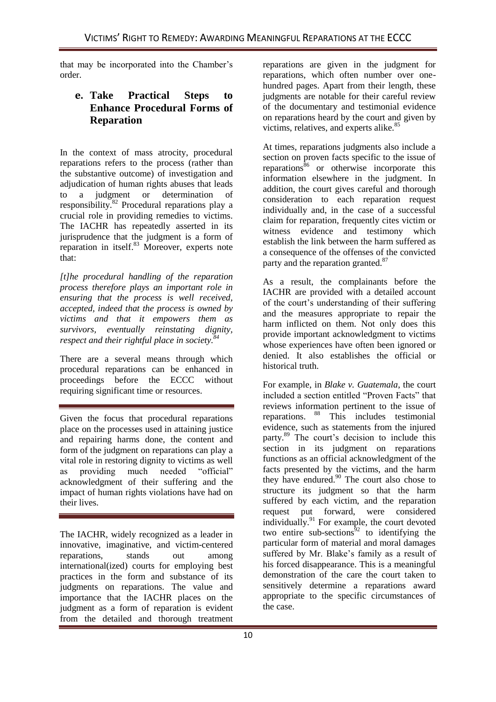that may be incorporated into the Chamber's order.

## **e. Take Practical Steps to Enhance Procedural Forms of Reparation**

In the context of mass atrocity, procedural reparations refers to the process (rather than the substantive outcome) of investigation and adjudication of human rights abuses that leads to a judgment or determination of responsibility.<sup>82</sup> Procedural reparations play a crucial role in providing remedies to victims. The IACHR has repeatedly asserted in its jurisprudence that the judgment is a form of reparation in itself.<sup>83</sup> Moreover, experts note that:

*[t]he procedural handling of the reparation process therefore plays an important role in ensuring that the process is well received, accepted, indeed that the process is owned by victims and that it empowers them as survivors, eventually reinstating dignity, respect and their rightful place in society.<sup>84</sup>*

There are a several means through which procedural reparations can be enhanced in proceedings before the ECCC without requiring significant time or resources.

Given the focus that procedural reparations place on the processes used in attaining justice and repairing harms done, the content and form of the judgment on reparations can play a vital role in restoring dignity to victims as well as providing much needed "official" acknowledgment of their suffering and the impact of human rights violations have had on their lives.

The IACHR, widely recognized as a leader in innovative, imaginative, and victim-centered reparations, stands out among international(ized) courts for employing best practices in the form and substance of its judgments on reparations. The value and importance that the IACHR places on the judgment as a form of reparation is evident from the detailed and thorough treatment

reparations are given in the judgment for reparations, which often number over onehundred pages. Apart from their length, these judgments are notable for their careful review of the documentary and testimonial evidence on reparations heard by the court and given by victims, relatives, and experts alike.<sup>85</sup>

At times, reparations judgments also include a section on proven facts specific to the issue of reparations ${}^{86}$  or otherwise incorporate this information elsewhere in the judgment. In addition, the court gives careful and thorough consideration to each reparation request individually and, in the case of a successful claim for reparation, frequently cites victim or witness evidence and testimony which establish the link between the harm suffered as a consequence of the offenses of the convicted party and the reparation granted.<sup>87</sup>

As a result, the complainants before the IACHR are provided with a detailed account of the court's understanding of their suffering and the measures appropriate to repair the harm inflicted on them. Not only does this provide important acknowledgment to victims whose experiences have often been ignored or denied. It also establishes the official or historical truth.

For example, in *Blake v. Guatemala*, the court included a section entitled "Proven Facts" that reviews information pertinent to the issue of reparations. <sup>88</sup> This includes testimonial evidence, such as statements from the injured party.<sup>89</sup> The court's decision to include this section in its judgment on reparations functions as an official acknowledgment of the facts presented by the victims, and the harm they have endured. $90$  The court also chose to structure its judgment so that the harm suffered by each victim, and the reparation request put forward, were considered individually.<sup>91</sup> For example, the court devoted two entire sub-sections $92$  to identifying the particular form of material and moral damages suffered by Mr. Blake's family as a result of his forced disappearance. This is a meaningful demonstration of the care the court taken to sensitively determine a reparations award appropriate to the specific circumstances of the case.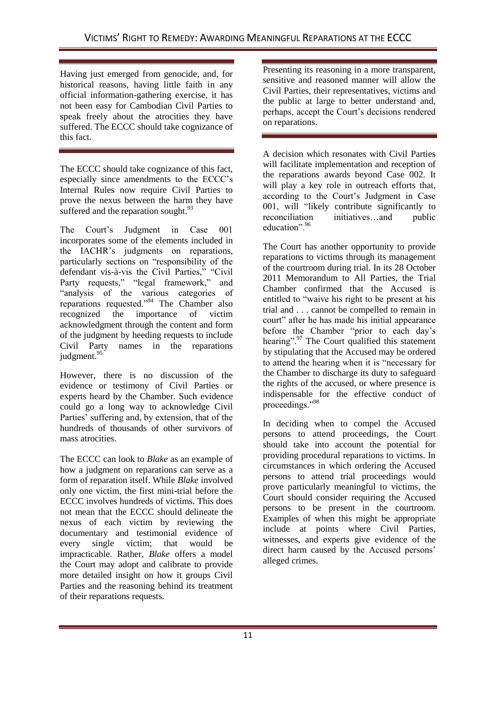Having just emerged from genocide, and, for historical reasons, having little faith in any official information-gathering exercise, it has not been easy for Cambodian Civil Parties to speak freely about the atrocities they have suffered. The ECCC should take cognizance of this fact.

The ECCC should take cognizance of this fact, especially since amendments to the ECCC's Internal Rules now require Civil Parties to prove the nexus between the harm they have suffered and the reparation sought. $93$ 

The Court's Judgment in Case 001 incorporates some of the elements included in the IACHR's judgments on reparations, particularly sections on "responsibility of the defendant vis-à-vis the Civil Parties," "Civil Party requests," "legal framework," and "analysis of the various categories of reparations requested."<sup>94</sup> The Chamber also recognized the importance of victim importance of victim acknowledgment through the content and form of the judgment by heeding requests to include Civil Party names in the reparations judgment.<sup>95</sup>

However, there is no discussion of the evidence or testimony of Civil Parties or experts heard by the Chamber. Such evidence could go a long way to acknowledge Civil Parties' suffering and, by extension, that of the hundreds of thousands of other survivors of mass atrocities.

The ECCC can look to *Blake* as an example of how a judgment on reparations can serve as a form of reparation itself. While *Blake* involved only one victim, the first mini-trial before the ECCC involves hundreds of victims. This does not mean that the ECCC should delineate the nexus of each victim by reviewing the documentary and testimonial evidence of every single victim; that would be impracticable. Rather, *Blake* offers a model the Court may adopt and calibrate to provide more detailed insight on how it groups Civil Parties and the reasoning behind its treatment of their reparations requests.

Presenting its reasoning in a more transparent, sensitive and reasoned manner will allow the Civil Parties, their representatives, victims and the public at large to better understand and, perhaps, accept the Court's decisions rendered on reparations.

A decision which resonates with Civil Parties will facilitate implementation and reception of the reparations awards beyond Case 002. It will play a key role in outreach efforts that, according to the Court's Judgment in Case 001, will "likely contribute significantly to reconciliation initiatives…and public education". 96

The Court has another opportunity to provide reparations to victims through its management of the courtroom during trial. In its 28 October 2011 Memorandum to All Parties, the Trial Chamber confirmed that the Accused is entitled to "waive his right to be present at his trial and . . . cannot be compelled to remain in court" after he has made his initial appearance before the Chamber "prior to each day's hearing".<sup>97</sup> The Court qualified this statement by stipulating that the Accused may be ordered to attend the hearing when it is "necessary for the Chamber to discharge its duty to safeguard the rights of the accused, or where presence is indispensable for the effective conduct of proceedings."98

In deciding when to compel the Accused persons to attend proceedings, the Court should take into account the potential for providing procedural reparations to victims. In circumstances in which ordering the Accused persons to attend trial proceedings would prove particularly meaningful to victims, the Court should consider requiring the Accused persons to be present in the courtroom. Examples of when this might be appropriate include at points where Civil Parties, witnesses, and experts give evidence of the direct harm caused by the Accused persons' alleged crimes.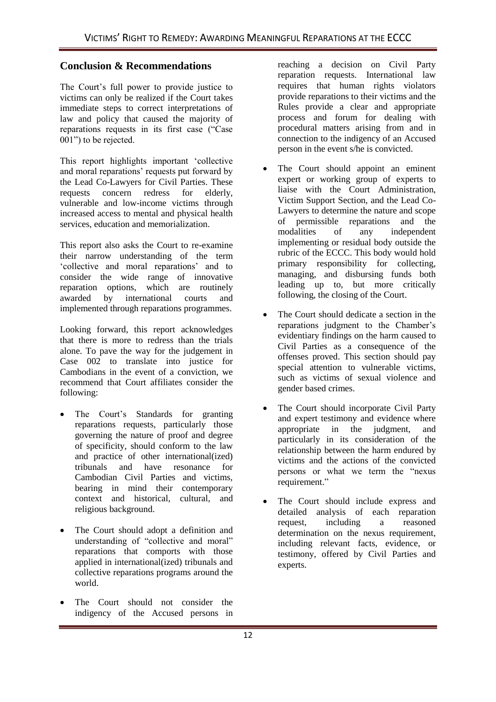## **Conclusion & Recommendations**

The Court's full power to provide justice to victims can only be realized if the Court takes immediate steps to correct interpretations of law and policy that caused the majority of reparations requests in its first case ("Case 001") to be rejected.

This report highlights important 'collective and moral reparations' requests put forward by the Lead Co-Lawyers for Civil Parties. These requests concern redress for elderly, vulnerable and low-income victims through increased access to mental and physical health services, education and memorialization.

This report also asks the Court to re-examine their narrow understanding of the term ‗collective and moral reparations' and to consider the wide range of innovative reparation options, which are routinely awarded by international courts and implemented through reparations programmes.

Looking forward, this report acknowledges that there is more to redress than the trials alone. To pave the way for the judgement in Case 002 to translate into justice for Cambodians in the event of a conviction, we recommend that Court affiliates consider the following:

- The Court's Standards for granting reparations requests, particularly those governing the nature of proof and degree of specificity, should conform to the law and practice of other international(ized) tribunals and have resonance for Cambodian Civil Parties and victims, bearing in mind their contemporary context and historical, cultural, and religious background.
- The Court should adopt a definition and understanding of "collective and moral" reparations that comports with those applied in international(ized) tribunals and collective reparations programs around the world.
- The Court should not consider the indigency of the Accused persons in

reaching a decision on Civil Party reparation requests. International law requires that human rights violators provide reparations to their victims and the Rules provide a clear and appropriate process and forum for dealing with procedural matters arising from and in connection to the indigency of an Accused person in the event s/he is convicted.

- The Court should appoint an eminent expert or working group of experts to liaise with the Court Administration, Victim Support Section, and the Lead Co-Lawyers to determine the nature and scope of permissible reparations and the modalities of any independent implementing or residual body outside the rubric of the ECCC. This body would hold primary responsibility for collecting, managing, and disbursing funds both leading up to, but more critically following, the closing of the Court.
- The Court should dedicate a section in the reparations judgment to the Chamber's evidentiary findings on the harm caused to Civil Parties as a consequence of the offenses proved. This section should pay special attention to vulnerable victims, such as victims of sexual violence and gender based crimes.
- The Court should incorporate Civil Party and expert testimony and evidence where appropriate in the judgment, and particularly in its consideration of the relationship between the harm endured by victims and the actions of the convicted persons or what we term the "nexus" requirement."
- The Court should include express and detailed analysis of each reparation request, including a reasoned determination on the nexus requirement, including relevant facts, evidence, or testimony, offered by Civil Parties and experts.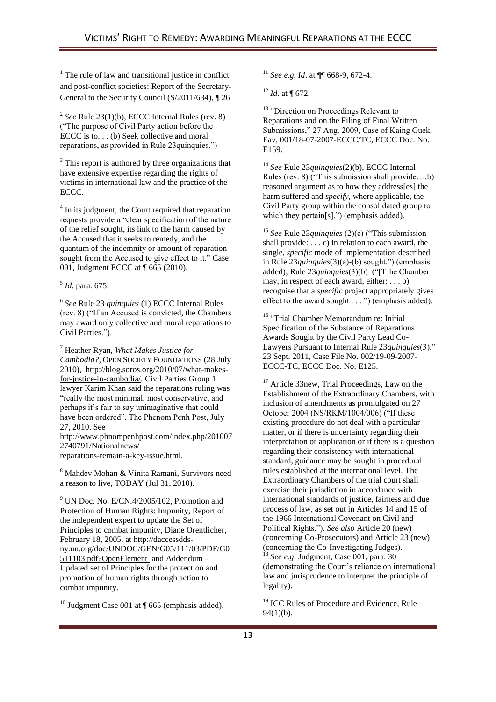$<sup>1</sup>$  The rule of law and transitional justice in conflict</sup> and post-conflict societies: Report of the Secretary-General to the Security Council (S/2011/634), ¶ 26

2 *See* Rule 23(1)(b), ECCC Internal Rules (rev. 8) (―The purpose of Civil Party action before the ECCC is to. . . (b) Seek collective and moral reparations, as provided in Rule 23quinquies.")

<sup>3</sup> This report is authored by three organizations that have extensive expertise regarding the rights of victims in international law and the practice of the ECCC.

<sup>4</sup> In its judgment, the Court required that reparation requests provide a "clear specification of the nature of the relief sought, its link to the harm caused by the Accused that it seeks to remedy, and the quantum of the indemnity or amount of reparation sought from the Accused to give effect to it." Case 001, Judgment ECCC at ¶ 665 (2010).

#### 5 *Id*. para. 675.

 $\overline{\phantom{a}}$ 

6 *See* Rule 23 *quinquies* (1) ECCC Internal Rules  $(rev. 8)$  ("If an Accused is convicted, the Chambers" may award only collective and moral reparations to Civil Parties.").

<sup>7</sup> Heather Ryan, *What Makes Justice for Cambodia?*, OPEN SOCIETY FOUNDATIONS (28 July 2010), [http://blog.soros.org/2010/07/what-makes](http://blog.soros.org/2010/07/what-makes-for-justice-in-cambodia/)[for-justice-in-cambodia/.](http://blog.soros.org/2010/07/what-makes-for-justice-in-cambodia/) Civil Parties Group 1 lawyer Karim Khan said the reparations ruling was "really the most minimal, most conservative, and perhaps it's fair to say unimaginative that could have been ordered". The Phenom Penh Post, July 27, 2010. See http://www.phnompenhpost.com/index.php/201007 2740791/Nationalnews/ reparations-remain-a-key-issue.html.

<sup>8</sup> Mahdev Mohan & Vinita Ramani, Survivors need a reason to live, TODAY (Jul 31, 2010).

 $9$  UN Doc. No. E/CN.4/2005/102, Promotion and Protection of Human Rights: Impunity, Report of the independent expert to update the Set of Principles to combat impunity, Diane Orentlicher, February 18, 2005, at [http://daccessdds](http://daccessdds-ny.un.org/doc/UNDOC/GEN/G05/111/03/PDF/G0511103.pdf?OpenElement)[ny.un.org/doc/UNDOC/GEN/G05/111/03/PDF/G0](http://daccessdds-ny.un.org/doc/UNDOC/GEN/G05/111/03/PDF/G0511103.pdf?OpenElement) [511103.pdf?OpenElement](http://daccessdds-ny.un.org/doc/UNDOC/GEN/G05/111/03/PDF/G0511103.pdf?OpenElement) and Addendum – Updated set of Principles for the protection and promotion of human rights through action to combat impunity.

<sup>10</sup> Judgment Case 001 at  $\P$  665 (emphasis added).

 $\overline{a}$ <sup>11</sup> *See e.g. Id*. at ¶¶ 668-9, 672-4.

<sup>12</sup> *Id*. at ¶ 672.

<sup>13</sup> "Direction on Proceedings Relevant to Reparations and on the Filing of Final Written Submissions," 27 Aug. 2009, Case of Kaing Guek, Eav, 001/18-07-2007-ECCC/TC, ECCC Doc. No. E159.

<sup>14</sup> *See* Rule 23*quinquies*(2)(b), ECCC Internal Rules (rev. 8) ("This submission shall provide:...b) reasoned argument as to how they address[es] the harm suffered and *specify*, where applicable, the Civil Party group within the consolidated group to which they pertain[s].") (emphasis added).

<sup>15</sup> *See* Rule 23*quinquies* (2)(c) ("This submission shall provide:  $\dots$  c) in relation to each award, the single, *specific* mode of implementation described in Rule 23*quinquies*(3)(a)-(b) sought.") (emphasis added); Rule 23*quinquies*(3)(b) ("[T]he Chamber may, in respect of each award, either: . . . b) recognise that a *specific* project appropriately gives effect to the award sought . . . ") (emphasis added).

<sup>16</sup> "Trial Chamber Memorandum re: Initial Specification of the Substance of Reparations Awards Sought by the Civil Party Lead Co-Lawyers Pursuant to Internal Rule 23*quinquies*(3)," 23 Sept. 2011, Case File No. 002/19-09-2007- ECCC-TC, ECCC Doc. No. E125.

<sup>17</sup> Article 33new, Trial Proceedings, Law on the Establishment of the Extraordinary Chambers, with inclusion of amendments as promulgated on 27 October 2004 (NS/RKM/1004/006) ("If these existing procedure do not deal with a particular matter, or if there is uncertainty regarding their interpretation or application or if there is a question regarding their consistency with international standard, guidance may be sought in procedural rules established at the international level. The Extraordinary Chambers of the trial court shall exercise their jurisdiction in accordance with international standards of justice, fairness and due process of law, as set out in Articles 14 and 15 of the 1966 International Covenant on Civil and Political Rights.‖). *See also* Article 20 (new) (concerning Co-Prosecutors) and Article 23 (new) (concerning the Co-Investigating Judges). <sup>18</sup> *See e.g.* Judgment, Case 001, para. 30

(demonstrating the Court's reliance on international law and jurisprudence to interpret the principle of legality).

<sup>19</sup> ICC Rules of Procedure and Evidence, Rule 94(1)(b).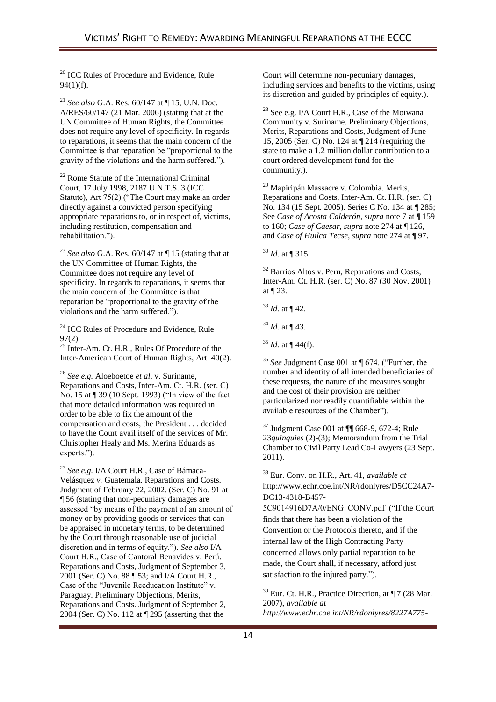<sup>20</sup> ICC Rules of Procedure and Evidence, Rule 94(1)(f).

 $\overline{\phantom{a}}$ 

<sup>21</sup> *See also* G.A. Res. 60/147 at ¶ 15, U.N. Doc. A/RES/60/147 (21 Mar. 2006) (stating that at the UN Committee of Human Rights, the Committee does not require any level of specificity. In regards to reparations, it seems that the main concern of the Committee is that reparation be "proportional to the gravity of the violations and the harm suffered.").

<sup>22</sup> Rome Statute of the International Criminal Court, 17 July 1998, 2187 U.N.T.S. 3 (ICC Statute), Art  $75(2)$  ("The Court may make an order directly against a convicted person specifying appropriate reparations to, or in respect of, victims, including restitution, compensation and rehabilitation.").

<sup>23</sup> *See also* G.A. Res. 60/147 at ¶ 15 (stating that at the UN Committee of Human Rights, the Committee does not require any level of specificity. In regards to reparations, it seems that the main concern of the Committee is that reparation be "proportional to the gravity of the violations and the harm suffered.").

<sup>24</sup> ICC Rules of Procedure and Evidence, Rule  $97(2)$ .

<sup>25</sup> Inter-Am. Ct. H.R., Rules Of Procedure of the Inter-American Court of Human Rights, Art. 40(2).

<sup>26</sup> *See e.g.* Aloeboetoe *et al*. v. Suriname, Reparations and Costs, Inter-Am. Ct. H.R. (ser. C) No. 15 at ¶ 39 (10 Sept. 1993) ("In view of the fact that more detailed information was required in order to be able to fix the amount of the compensation and costs, the President . . . decided to have the Court avail itself of the services of Mr. Christopher Healy and Ms. Merina Eduards as experts.").

<sup>27</sup> *See e.g.* I/A Court H.R., Case of Bámaca-Velásquez *v.* Guatemala. Reparations and Costs. Judgment of February 22, 2002. (Ser. C) No. 91 at ¶ 56 (stating that non-pecuniary damages are assessed "by means of the payment of an amount of money or by providing goods or services that can be appraised in monetary terms, to be determined by the Court through reasonable use of judicial discretion and in terms of equity."). See also I/A Court H.R., Case of Cantoral Benavides v. Perú. Reparations and Costs, Judgment of September 3, 2001 (Ser. C) No. 88 ¶ 53; and I/A Court H.R., Case of the "Juvenile Reeducation Institute" v. Paraguay. Preliminary Objections, Merits, Reparations and Costs. Judgment of September 2, 2004 (Ser. C) No. 112 at ¶ 295 (asserting that the

1 Court will determine non-pecuniary damages, including services and benefits to the victims, using its discretion and guided by principles of equity.).

<sup>28</sup> See e.g. I/A Court H.R., Case of the Moiwana Community v. Suriname. Preliminary Objections, Merits, Reparations and Costs, Judgment of June 15, 2005 (Ser. C) No. 124 at ¶ 214 (requiring the state to make a 1.2 million dollar contribution to a court ordered development fund for the community.).

<sup>29</sup> Mapiripán Massacre v. Colombia. Merits, Reparations and Costs, Inter-Am. Ct. H.R. (ser. C) No. 134 (15 Sept. 2005). Series C No. 134 at ¶ 285; See *Case of Acosta Calderón, supra* note 7 at ¶ 159 to 160; *Case of Caesar, supra* note 274 at ¶ 126, and *Case of Huilca Tecse, supra* note 274 at ¶ 97.

<sup>30</sup> *Id*. at ¶ 315.

<sup>32</sup> Barrios Altos v. Peru, Reparations and Costs, Inter-Am. Ct. H.R. (ser. C) No. 87 (30 Nov. 2001) at ¶ 23.

<sup>34</sup> *Id.* at ¶ 43.

 $35$  *Id.* at  $\P$  44(f).

<sup>36</sup> *See* Judgment Case 001 at ¶ 674. ("Further, the number and identity of all intended beneficiaries of these requests, the nature of the measures sought and the cost of their provision are neither particularized nor readily quantifiable within the available resources of the Chamber").

<sup>37</sup> Judgment Case 001 at ¶¶ 668-9, 672-4; Rule 23*quinquies* (2)-(3); Memorandum from the Trial Chamber to Civil Party Lead Co-Lawyers (23 Sept. 2011).

<sup>38</sup> Eur. Conv. on H.R., Art. 41, *available at*  http://www.echr.coe.int/NR/rdonlyres/D5CC24A7- DC13-4318-B457-

5C9014916D7A/0/ENG\_CONV.pdf ("If the Court finds that there has been a violation of the Convention or the Protocols thereto, and if the internal law of the High Contracting Party concerned allows only partial reparation to be made, the Court shall, if necessary, afford just satisfaction to the injured party.").

<sup>39</sup> Eur. Ct. H.R., Practice Direction, at ¶ 7 (28 Mar. 2007), *available at http://www.echr.coe.int/NR/rdonlyres/8227A775-*

<sup>33</sup> *Id.* at ¶ 42.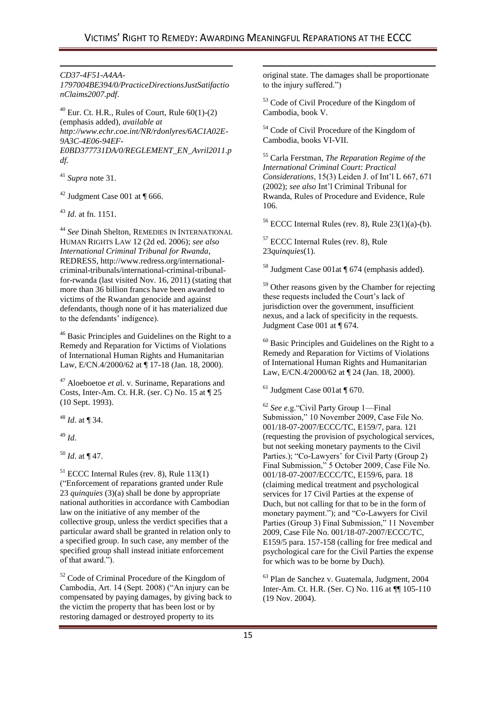1

-*CD37-4F51-A4AA-*

*1797004BE394/0/PracticeDirectionsJustSatifactio nClaims2007.pdf*.

 $^{40}$  Eur. Ct. H.R., Rules of Court, Rule 60(1)-(2) (emphasis added), *available at http://www.echr.coe.int/NR/rdonlyres/6AC1A02E-9A3C-4E06-94EF-E0BD377731DA/0/REGLEMENT\_EN\_Avril2011.p df.*

<sup>41</sup> *Supra* note 31.

 $42$  Judgment Case 001 at ¶ 666.

<sup>43</sup> *Id*. at fn. 1151.

<sup>44</sup> *See* Dinah Shelton, REMEDIES IN INTERNATIONAL HUMAN RIGHTS LAW 12 (2d ed. 2006); *see also International Criminal Tribunal for Rwanda*, REDRESS, http://www.redress.org/internationalcriminal-tribunals/international-criminal-tribunalfor-rwanda (last visited Nov. 16, 2011) (stating that more than 36 billion francs have been awarded to victims of the Rwandan genocide and against defendants, though none of it has materialized due to the defendants' indigence).

<sup>46</sup> Basic Principles and Guidelines on the Right to a Remedy and Reparation for Victims of Violations of International Human Rights and Humanitarian Law, E/CN.4/2000/62 at ¶ 17-18 (Jan. 18, 2000).

<sup>47</sup> Aloeboetoe *et a*l. v. Suriname, Reparations and Costs, Inter-Am. Ct. H.R. (ser. C) No. 15 at ¶ 25 (10 Sept. 1993).

<sup>48</sup> *Id*. at ¶ 34.

<sup>49</sup> *Id.*

<sup>50</sup> *Id*. at ¶ 47.

<sup>51</sup> ECCC Internal Rules (rev. 8), Rule 113(1) (―Enforcement of reparations granted under Rule 23 *quinquies* (3)(a) shall be done by appropriate national authorities in accordance with Cambodian law on the initiative of any member of the collective group, unless the verdict specifies that a particular award shall be granted in relation only to a specified group. In such case, any member of the specified group shall instead initiate enforcement of that award.").

<sup>52</sup> Code of Criminal Procedure of the Kingdom of Cambodia, Art. 14 (Sept. 2008) ("An injury can be compensated by paying damages, by giving back to the victim the property that has been lost or by restoring damaged or destroyed property to its

original state. The damages shall be proportionate to the injury suffered.")

<sup>53</sup> Code of Civil Procedure of the Kingdom of Cambodia, book V.

<sup>54</sup> Code of Civil Procedure of the Kingdom of Cambodia, books VI-VII.

<sup>55</sup> Carla Ferstman, *The Reparation Regime of the International Criminal Court: Practical Considerations*, 15(3) Leiden J. of Int'l L 667, 671 (2002); *see also* Int'l Criminal Tribunal for Rwanda, Rules of Procedure and Evidence, Rule 106.

 $56$  ECCC Internal Rules (rev. 8), Rule 23(1)(a)-(b).

<sup>57</sup> ECCC Internal Rules (rev. 8), Rule 23*quinquies*(1).

<sup>58</sup> Judgment Case 001at ¶ 674 (emphasis added).

<sup>59</sup> Other reasons given by the Chamber for rejecting these requests included the Court's lack of jurisdiction over the government, insufficient nexus, and a lack of specificity in the requests. Judgment Case 001 at ¶ 674.

<sup>60</sup> Basic Principles and Guidelines on the Right to a Remedy and Reparation for Victims of Violations of International Human Rights and Humanitarian Law, E/CN.4/2000/62 at ¶ 24 (Jan. 18, 2000).

 $61$  Judgment Case 001at ¶ 670.

<sup>62</sup> See e.g. "Civil Party Group 1—Final Submission," 10 November 2009, Case File No. 001/18-07-2007/ECCC/TC, E159/7, para. 121 (requesting the provision of psychological services, but not seeking monetary payments to the Civil Parties.); "Co-Lawyers' for Civil Party (Group 2) Final Submission," 5 October 2009, Case File No. 001/18-07-2007/ECCC/TC, E159/6, para. 18 (claiming medical treatment and psychological services for 17 Civil Parties at the expense of Duch, but not calling for that to be in the form of monetary payment."); and "Co-Lawyers for Civil Parties (Group 3) Final Submission," 11 November 2009, Case File No. 001/18-07-2007/ECCC/TC, E159/5 para. 157-158 (calling for free medical and psychological care for the Civil Parties the expense for which was to be borne by Duch).

<sup>63</sup> Plan de Sanchez v. Guatemala, Judgment, 2004 Inter-Am. Ct. H.R. (Ser. C) No. 116 at ¶¶ 105-110 (19 Nov. 2004).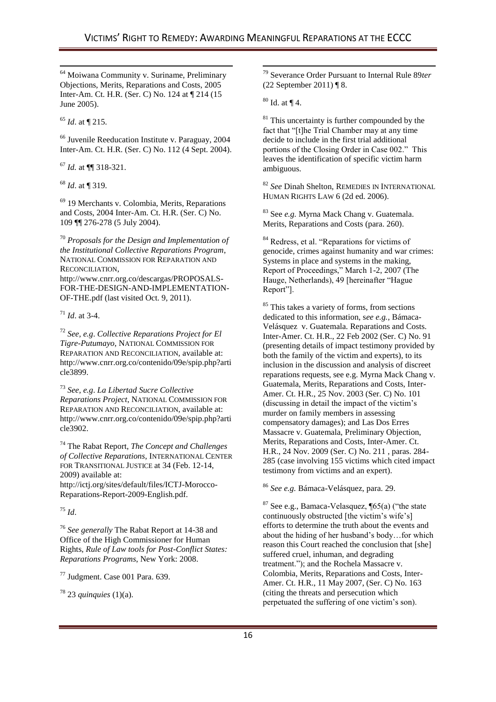$\overline{\phantom{a}}$ 

<sup>-</sup> <sup>64</sup> Moiwana Community v. Suriname, Preliminary Objections, Merits, Reparations and Costs, 2005 Inter-Am. Ct. H.R. (Ser. C) No. 124 at ¶ 214 (15 June 2005).

<sup>65</sup> *Id*. at ¶ 215.

<sup>66</sup> Juvenile Reeducation Institute v. Paraguay, 2004 Inter-Am. Ct. H.R. (Ser. C) No. 112 (4 Sept. 2004).

<sup>67</sup> *Id.* at ¶¶ 318-321.

<sup>68</sup> *Id*. at ¶ 319.

<sup>69</sup> 19 Merchants v. Colombia, Merits, Reparations and Costs, 2004 Inter-Am. Ct. H.R. (Ser. C) No. 109 ¶¶ 276-278 (5 July 2004).

<sup>70</sup> *Proposals for the Design and Implementation of the Institutional Collective Reparations Program*, NATIONAL COMMISSION FOR REPARATION AND RECONCILIATION,

http://www.cnrr.org.co/descargas/PROPOSALS-FOR-THE-DESIGN-AND-IMPLEMENTATION-OF-THE.pdf (last visited Oct. 9, 2011).

<sup>71</sup> *Id*. at 3-4.

<sup>72</sup> *See, e.g*. *Collective Reparations Project for El Tigre-Putumayo*, NATIONAL COMMISSION FOR REPARATION AND RECONCILIATION, available at: http://www.cnrr.org.co/contenido/09e/spip.php?arti cle3899.

<sup>73</sup> *See, e.g*. *La Libertad Sucre Collective Reparations Project*, NATIONAL COMMISSION FOR REPARATION AND RECONCILIATION, available at: http://www.cnrr.org.co/contenido/09e/spip.php?arti cle3902.

<sup>74</sup> The Rabat Report, *The Concept and Challenges of Collective Reparations*, INTERNATIONAL CENTER FOR TRANSITIONAL JUSTICE at 34 (Feb. 12-14, 2009) available at:

http://ictj.org/sites/default/files/ICTJ-Morocco-Reparations-Report-2009-English.pdf.

<sup>75</sup> *Id*.

<sup>76</sup> *See generally* The Rabat Report at 14-38 and Office of the High Commissioner for Human Rights, *Rule of Law tools for Post-Conflict States: Reparations Programs*, New York: 2008.

<sup>77</sup> Judgment. Case 001 Para. 639.

<sup>78</sup> 23 *quinquies* (1)(a).

<sup>79</sup> Severance Order Pursuant to Internal Rule 89*ter*  (22 September 2011) ¶ 8.

 $80$  Id. at  $\P$  4.

 $81$  This uncertainty is further compounded by the fact that "[t]he Trial Chamber may at any time decide to include in the first trial additional portions of the Closing Order in Case 002." This leaves the identification of specific victim harm ambiguous.

<sup>82</sup> *See* Dinah Shelton, REMEDIES IN INTERNATIONAL HUMAN RIGHTS LAW 6 (2d ed. 2006).

<sup>83</sup> See *e.g.* Myrna Mack Chang v. Guatemala. Merits, Reparations and Costs (para. 260).

<sup>84</sup> Redress, et al. "Reparations for victims of genocide, crimes against humanity and war crimes: Systems in place and systems in the making, Report of Proceedings," March 1-2, 2007 (The Hauge, Netherlands), 49 [hereinafter "Hague Report"].

<sup>85</sup> This takes a variety of forms, from sections dedicated to this information, s*ee e.g.*, Bámaca-Velásquez v. Guatemala. Reparations and Costs. Inter-Amer. Ct. H.R., 22 Feb 2002 (Ser. C) No. 91 (presenting details of impact testimony provided by both the family of the victim and experts), to its inclusion in the discussion and analysis of discreet reparations requests, see e.g. Myrna Mack Chang v. Guatemala, Merits, Reparations and Costs, Inter-Amer. Ct. H.R., 25 Nov. 2003 (Ser. C) No. 101 (discussing in detail the impact of the victim's murder on family members in assessing compensatory damages); and Las Dos Erres Massacre v. Guatemala, Preliminary Objection, Merits, Reparations and Costs, Inter-Amer. Ct. H.R., 24 Nov. 2009 (Ser. C) No. 211 , paras. 284- 285 (case involving 155 victims which cited impact testimony from victims and an expert).

<sup>86</sup> *See e.g.* Bámaca-Velásquez, para. 29.

 $87$  See e.g., Bamaca-Velasquez,  $\P(65(a))$  ("the state continuously obstructed [the victim's wife's] efforts to determine the truth about the events and about the hiding of her husband's body…for which reason this Court reached the conclusion that [she] suffered cruel, inhuman, and degrading treatment."); and the Rochela Massacre v. Colombia, Merits, Reparations and Costs, Inter-Amer. Ct. H.R., 11 May 2007, (Ser. C) No. 163 (citing the threats and persecution which perpetuated the suffering of one victim's son).